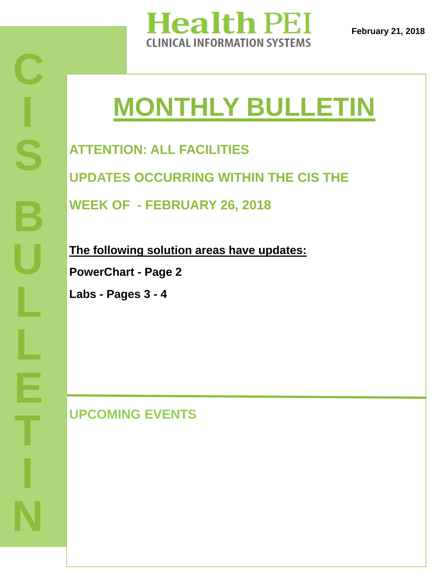

**February 21, 2018** 

# **MONTHLY BULLETIN**

**ATTENTION: ALL FACILITIES UPDATES OCCURRING WITHIN THE CIS THE** 

**WEEK OF - FEBRUARY 26, 2018** 

**The following solution areas have updates:** 

**PowerChart - Page 2** 

**Labs - Pages 3 - 4**

**UPCOMING EVENTS**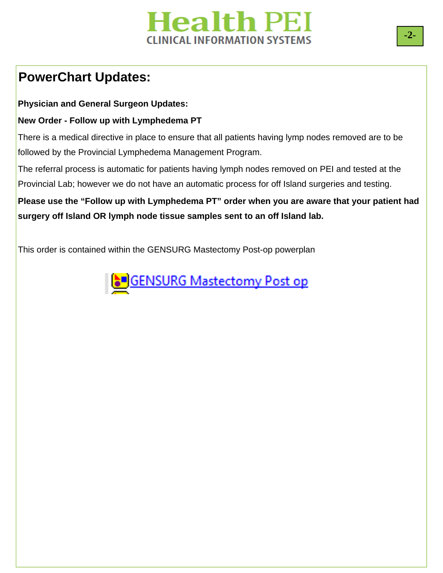# **Health PEI CLINICAL INFORMATION SYSTEMS**

### **PowerChart Updates:**

**Physician and General Surgeon Updates:** 

#### **New Order - Follow up with Lymphedema PT**

There is a medical directive in place to ensure that all patients having lymp nodes removed are to be followed by the Provincial Lymphedema Management Program.

The referral process is automatic for patients having lymph nodes removed on PEI and tested at the Provincial Lab; however we do not have an automatic process for off Island surgeries and testing.

**Please use the "Follow up with Lymphedema PT" order when you are aware that your patient had surgery off Island OR lymph node tissue samples sent to an off Island lab.** 

This order is contained within the GENSURG Mastectomy Post-op powerplan

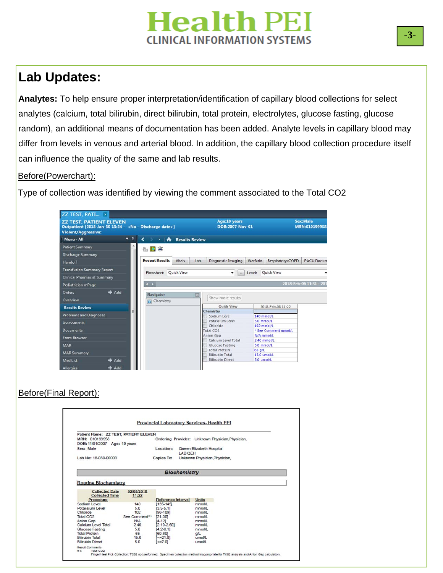# **Health PEI CLINICAL INFORMATION SYSTEMS**

### **Lab Updates:**

**Analytes:** To help ensure proper interpretation/identification of capillary blood collections for select analytes (calcium, total bilirubin, direct bilirubin, total protein, electrolytes, glucose fasting, glucose random), an additional means of documentation has been added. Analyte levels in capillary blood may differ from levels in venous and arterial blood. In addition, the capillary blood collection procedure itself can influence the quality of the same and lab results.

#### Before(Powerchart):

Type of collection was identified by viewing the comment associated to the Total CO2



#### Before(Final Report):

|                                                                                                                                                                                 |                                                                                      |                                                                                                                             | Provincial Laboratory Services-Health PEI                                          |  |
|---------------------------------------------------------------------------------------------------------------------------------------------------------------------------------|--------------------------------------------------------------------------------------|-----------------------------------------------------------------------------------------------------------------------------|------------------------------------------------------------------------------------|--|
| Patient Name: ZZ TEST, PATIENT ELEVEN<br>MRN: 010199958<br>DOB: 11/01/2007 Age: 10 years                                                                                        |                                                                                      |                                                                                                                             | Ordering Provider: Unknown Physician, Physician,                                   |  |
| Sex: Male                                                                                                                                                                       |                                                                                      | Location:                                                                                                                   | Queen Elizabeth Hospital<br>LAB OFH                                                |  |
| Lab No: 18-039-00003                                                                                                                                                            |                                                                                      |                                                                                                                             | Copies To: Unknown Physician, Physician,                                           |  |
|                                                                                                                                                                                 |                                                                                      |                                                                                                                             | <b>Biochemistry</b>                                                                |  |
| <b>Routine Biochemistry</b><br><b>Collected Date</b><br><b>Collected Time</b><br>Procedure<br>Sodium Level<br>Potassium Level<br>Chloride<br>Total CO <sub>2</sub><br>Anion Gap | 02/08/2018<br>11:22<br>140<br>5.0<br>102<br>See Comment <sup>R1</sup><br>N/A<br>2.40 | <b>Reference Interval</b><br>$[135 - 145]$<br>$[3.5 - 5.1]$<br>$[96 - 109]$<br>$[21 - 30]$<br>$[4 - 12]$<br>$[2.10 - 2.60]$ | <b>Units</b><br>mmol/L<br>mmol/L<br>mmol/L<br>mmol/L<br>mmol/L<br>mmol/L<br>mmol/L |  |